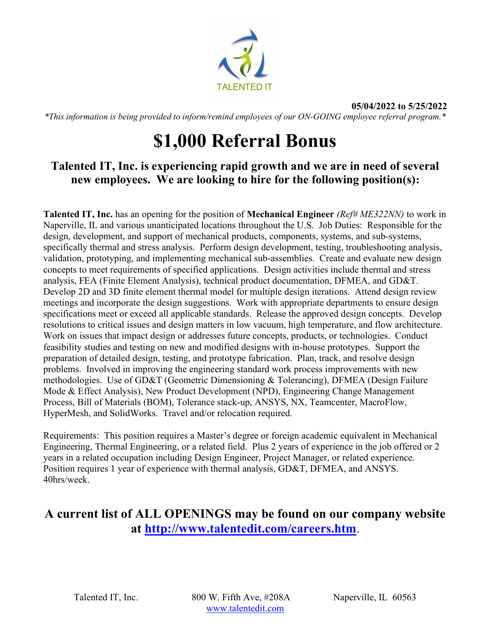

\*This information is being provided to inform/remind employees of our ON-GOING employee referral program.\*

## \$1,000 Referral Bonus

## Talented IT, Inc. is experiencing rapid growth and we are in need of several new employees. We are looking to hire for the following position(s):

**Talented IT, Inc.** has an opening for the position of **Mechanical Engineer** (Ref#  $ME322NN$ ) to work in Naperville, IL and various unanticipated locations throughout the U.S. Job Duties: Responsible for the design, development, and support of mechanical products, components, systems, and sub-systems, specifically thermal and stress analysis. Perform design development, testing, troubleshooting analysis, validation, prototyping, and implementing mechanical sub-assemblies. Create and evaluate new design concepts to meet requirements of specified applications. Design activities include thermal and stress analysis, FEA (Finite Element Analysis), technical product documentation, DFMEA, and GD&T. Develop 2D and 3D finite element thermal model for multiple design iterations. Attend design review meetings and incorporate the design suggestions. Work with appropriate departments to ensure design specifications meet or exceed all applicable standards. Release the approved design concepts. Develop resolutions to critical issues and design matters in low vacuum, high temperature, and flow architecture. Work on issues that impact design or addresses future concepts, products, or technologies. Conduct feasibility studies and testing on new and modified designs with in-house prototypes. Support the preparation of detailed design, testing, and prototype fabrication. Plan, track, and resolve design problems. Involved in improving the engineering standard work process improvements with new methodologies. Use of GD&T (Geometric Dimensioning & Tolerancing), DFMEA (Design Failure Mode & Effect Analysis), New Product Development (NPD), Engineering Change Management Process, Bill of Materials (BOM), Tolerance stack-up, ANSYS, NX, Teamcenter, MacroFlow, HyperMesh, and SolidWorks. Travel and/or relocation required.

Requirements: This position requires a Master's degree or foreign academic equivalent in Mechanical Engineering, Thermal Engineering, or a related field. Plus 2 years of experience in the job offered or 2 years in a related occupation including Design Engineer, Project Manager, or related experience. Position requires 1 year of experience with thermal analysis, GD&T, DFMEA, and ANSYS. 40hrs/week.

## A current list of ALL OPENINGS may be found on our company website at http://www.talentedit.com/careers.htm.

Talented IT, Inc. 800 W. Fifth Ave, #208A Naperville, IL 60563 www.talentedit.com

05/04/2022 to 5/25/2022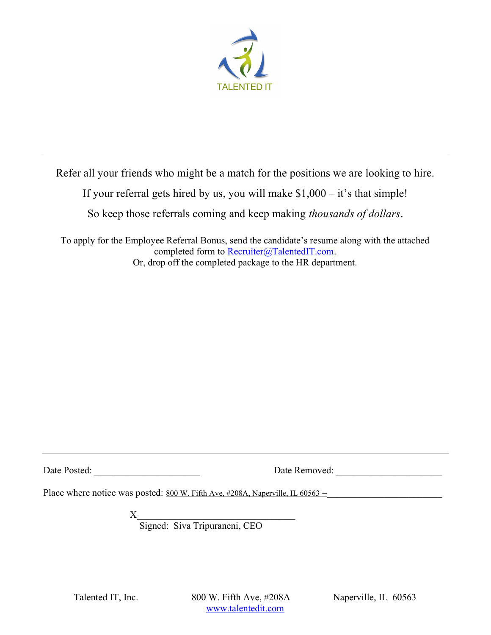

Refer all your friends who might be a match for the positions we are looking to hire.

If your referral gets hired by us, you will make  $$1,000 - it's$  that simple!

So keep those referrals coming and keep making thousands of dollars.

To apply for the Employee Referral Bonus, send the candidate's resume along with the attached completed form to Recruiter@TalentedIT.com. Or, drop off the completed package to the HR department.

Date Posted: \_\_\_\_\_\_\_\_\_\_\_\_\_\_\_\_\_\_\_\_\_\_ Date Removed: \_\_\_\_\_\_\_\_\_\_\_\_\_\_\_\_\_\_\_\_\_\_

Place where notice was posted: 800 W. Fifth Ave, #208A, Naperville, IL 60563 –

 $X$ 

Signed: Siva Tripuraneni, CEO

Talented IT, Inc. 800 W. Fifth Ave, #208A Naperville, IL 60563 www.talentedit.com